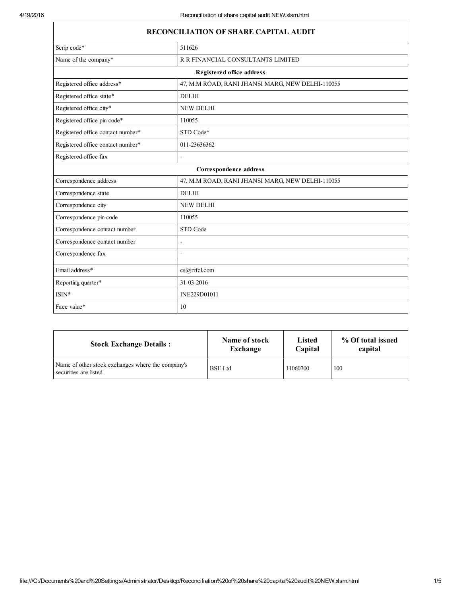| <b>RECONCILIATION OF SHARE CAPITAL AUDIT</b> |                                                  |  |  |
|----------------------------------------------|--------------------------------------------------|--|--|
| Scrip code*                                  | 511626                                           |  |  |
| Name of the company*                         | R R FINANCIAL CONSULTANTS LIMITED                |  |  |
|                                              | Registered office address                        |  |  |
| Registered office address*                   | 47, M.M ROAD, RANI JHANSI MARG, NEW DELHI-110055 |  |  |
| Registered office state*                     | <b>DELHI</b>                                     |  |  |
| Registered office city*                      | <b>NEW DELHI</b>                                 |  |  |
| Registered office pin code*                  | 110055                                           |  |  |
| Registered office contact number*            | STD Code*                                        |  |  |
| Registered office contact number*            | 011-23636362                                     |  |  |
| Registered office fax<br>L.                  |                                                  |  |  |
| Correspondence address                       |                                                  |  |  |
| Correspondence address                       | 47, M.M ROAD, RANI JHANSI MARG, NEW DELHI-110055 |  |  |
| Correspondence state                         | <b>DELHI</b>                                     |  |  |
| Correspondence city                          | <b>NEW DELHI</b>                                 |  |  |
| Correspondence pin code                      | 110055                                           |  |  |
| Correspondence contact number                | STD Code                                         |  |  |
| Correspondence contact number                | L.                                               |  |  |
| Correspondence fax                           |                                                  |  |  |
| Email address*                               | cs@rrfcl.com                                     |  |  |
| Reporting quarter*                           | 31-03-2016                                       |  |  |
| $ISIN*$                                      | INE229D01011                                     |  |  |
| Face value*                                  | 10                                               |  |  |

| <b>Stock Exchange Details:</b>                                             | Name of stock  | <b>Listed</b> | % Of total issued |
|----------------------------------------------------------------------------|----------------|---------------|-------------------|
|                                                                            | Exchange       | Capital       | capital           |
| Name of other stock exchanges where the company's<br>securities are listed | <b>BSE</b> Ltd | 11060700      | 100               |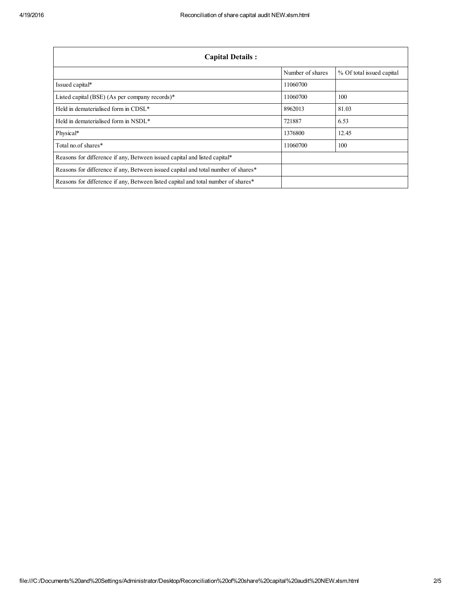| <b>Capital Details:</b>                                                           |                  |                           |  |
|-----------------------------------------------------------------------------------|------------------|---------------------------|--|
|                                                                                   | Number of shares | % Of total issued capital |  |
| Issued capital*                                                                   | 11060700         |                           |  |
| Listed capital (BSE) (As per company records)*                                    | 11060700         | 100                       |  |
| Held in dematerialised form in CDSL*                                              | 8962013          | 81.03                     |  |
| Held in dematerialised form in NSDL*                                              | 721887           | 6.53                      |  |
| Physical*                                                                         | 1376800          | 12.45                     |  |
| Total no. of shares*                                                              | 11060700         | 100                       |  |
| Reasons for difference if any, Between issued capital and listed capital*         |                  |                           |  |
| Reasons for difference if any, Between issued capital and total number of shares* |                  |                           |  |
| Reasons for difference if any, Between listed capital and total number of shares* |                  |                           |  |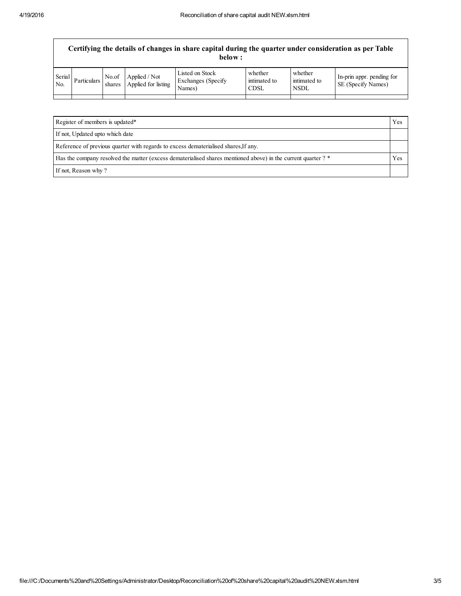$\mathsf{r}$ 

| whether<br>Listed on Stock<br>whether<br>Serial<br>No.of<br>Applied / Not<br>In-prin appr. pending for<br>Exchanges (Specify)<br>intimated to<br>intimated to<br>Particulars<br>Applied for listing<br>SE (Specify Names)<br>No.<br>shares<br>Names)<br><b>NSDL</b><br><b>CDSL</b> | Certifying the details of changes in share capital during the quarter under consideration as per Table<br>below: |  |  |  |  |  |  |  |
|------------------------------------------------------------------------------------------------------------------------------------------------------------------------------------------------------------------------------------------------------------------------------------|------------------------------------------------------------------------------------------------------------------|--|--|--|--|--|--|--|
|                                                                                                                                                                                                                                                                                    |                                                                                                                  |  |  |  |  |  |  |  |

| Register of members is updated*                                                                               | Yes |
|---------------------------------------------------------------------------------------------------------------|-----|
| If not, Updated upto which date                                                                               |     |
| Reference of previous quarter with regards to excess dematerialised shares. If any,                           |     |
| Has the company resolved the matter (excess dematerialised shares mentioned above) in the current quarter ? * | Yes |
| If not, Reason why?                                                                                           |     |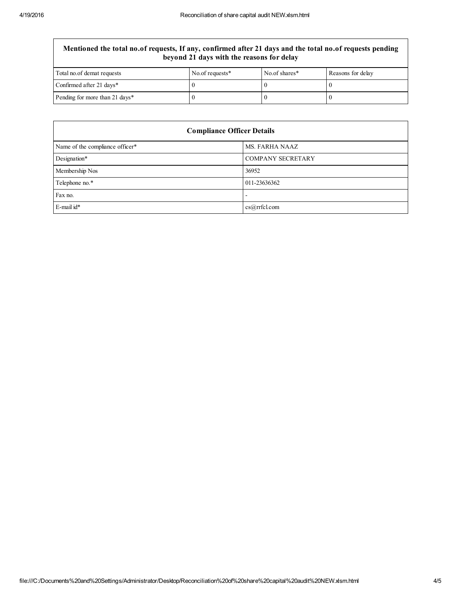## Mentioned the total no.of requests, If any, confirmed after 21 days and the total no.of requests pending beyond 21 days with the reasons for delay

| Total no. of demat requests    | No.of requests* | No.of shares* | Reasons for delay |
|--------------------------------|-----------------|---------------|-------------------|
| Confirmed after 21 days*       |                 |               |                   |
| Pending for more than 21 days* |                 |               |                   |

| <b>Compliance Officer Details</b> |                          |  |  |
|-----------------------------------|--------------------------|--|--|
| Name of the compliance officer*   | MS. FARHA NAAZ           |  |  |
| Designation*                      | <b>COMPANY SECRETARY</b> |  |  |
| Membership Nos                    | 36952                    |  |  |
| Telephone no.*                    | 011-23636362             |  |  |
| Fax no.                           | $\overline{\phantom{0}}$ |  |  |
| E-mail id*                        | cs@rrfcl.com             |  |  |